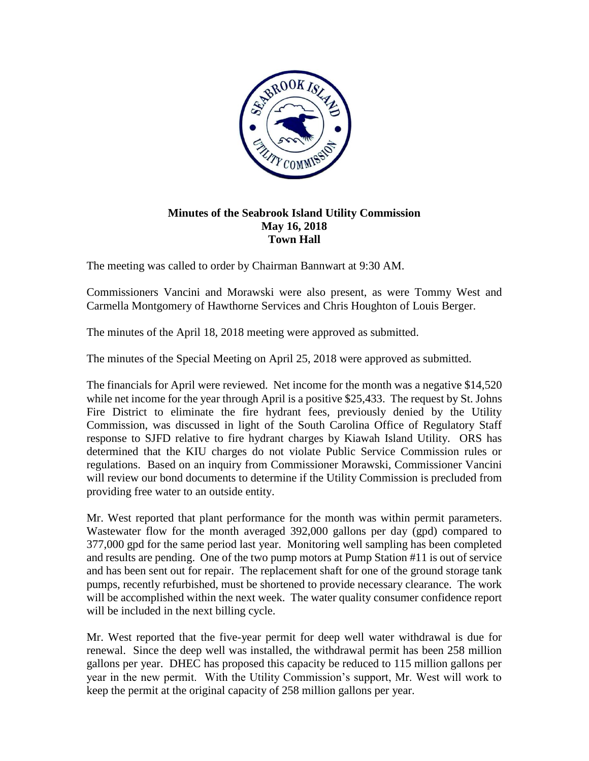

## **Minutes of the Seabrook Island Utility Commission May 16, 2018 Town Hall**

The meeting was called to order by Chairman Bannwart at 9:30 AM.

Commissioners Vancini and Morawski were also present, as were Tommy West and Carmella Montgomery of Hawthorne Services and Chris Houghton of Louis Berger.

The minutes of the April 18, 2018 meeting were approved as submitted.

The minutes of the Special Meeting on April 25, 2018 were approved as submitted.

The financials for April were reviewed. Net income for the month was a negative \$14,520 while net income for the year through April is a positive \$25,433. The request by St. Johns Fire District to eliminate the fire hydrant fees, previously denied by the Utility Commission, was discussed in light of the South Carolina Office of Regulatory Staff response to SJFD relative to fire hydrant charges by Kiawah Island Utility. ORS has determined that the KIU charges do not violate Public Service Commission rules or regulations. Based on an inquiry from Commissioner Morawski, Commissioner Vancini will review our bond documents to determine if the Utility Commission is precluded from providing free water to an outside entity.

Mr. West reported that plant performance for the month was within permit parameters. Wastewater flow for the month averaged 392,000 gallons per day (gpd) compared to 377,000 gpd for the same period last year. Monitoring well sampling has been completed and results are pending. One of the two pump motors at Pump Station #11 is out of service and has been sent out for repair. The replacement shaft for one of the ground storage tank pumps, recently refurbished, must be shortened to provide necessary clearance. The work will be accomplished within the next week. The water quality consumer confidence report will be included in the next billing cycle.

Mr. West reported that the five-year permit for deep well water withdrawal is due for renewal. Since the deep well was installed, the withdrawal permit has been 258 million gallons per year. DHEC has proposed this capacity be reduced to 115 million gallons per year in the new permit. With the Utility Commission's support, Mr. West will work to keep the permit at the original capacity of 258 million gallons per year.